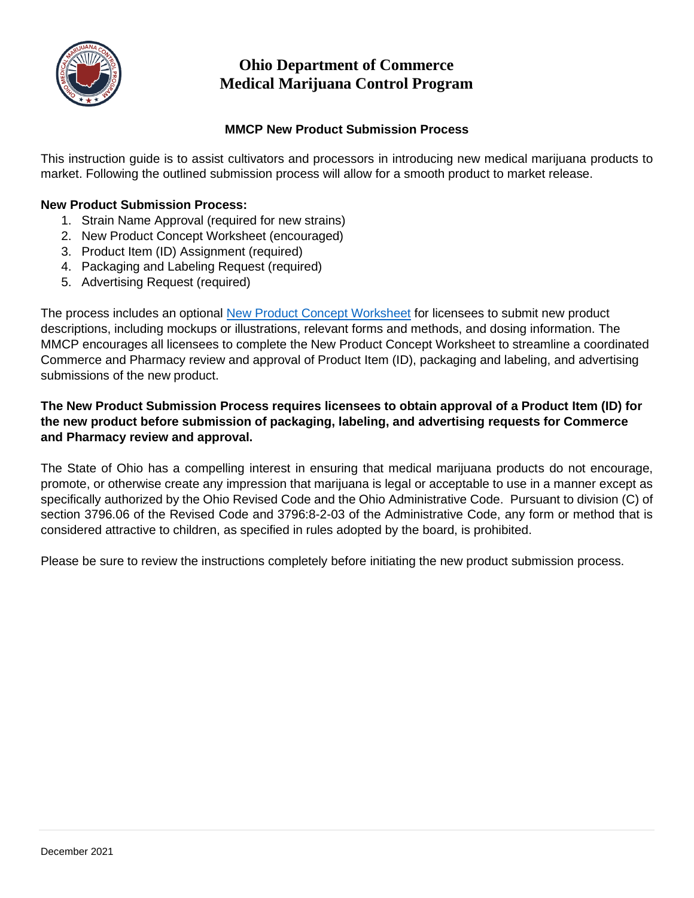

## **Ohio Department of Commerce Medical Marijuana Control Program**

#### **MMCP New Product Submission Process**

This instruction guide is to assist cultivators and processors in introducing new medical marijuana products to market. Following the outlined submission process will allow for a smooth product to market release.

#### **New Product Submission Process:**

- 1. Strain Name Approval (required for new strains)
- 2. New Product Concept Worksheet (encouraged)
- 3. Product Item (ID) Assignment (required)
- 4. Packaging and Labeling Request (required)
- 5. Advertising Request (required)

The process includes an optional [New Product Concept Worksheet](https://com.ohio.gov/documents/MMCP_New_Product_Concept_Worksheet.pdf) for licensees to submit new product descriptions, including mockups or illustrations, relevant forms and methods, and dosing information. The MMCP encourages all licensees to complete the New Product Concept Worksheet to streamline a coordinated Commerce and Pharmacy review and approval of Product Item (ID), packaging and labeling, and advertising submissions of the new product.

#### **The New Product Submission Process requires licensees to obtain approval of a Product Item (ID) for the new product before submission of packaging, labeling, and advertising requests for Commerce and Pharmacy review and approval.**

The State of Ohio has a compelling interest in ensuring that medical marijuana products do not encourage, promote, or otherwise create any impression that marijuana is legal or acceptable to use in a manner except as specifically authorized by the Ohio Revised Code and the Ohio Administrative Code. Pursuant to division (C) of section 3796.06 of the Revised Code and 3796:8-2-03 of the Administrative Code, any form or method that is considered attractive to children, as specified in rules adopted by the board, is prohibited.

Please be sure to review the instructions completely before initiating the new product submission process.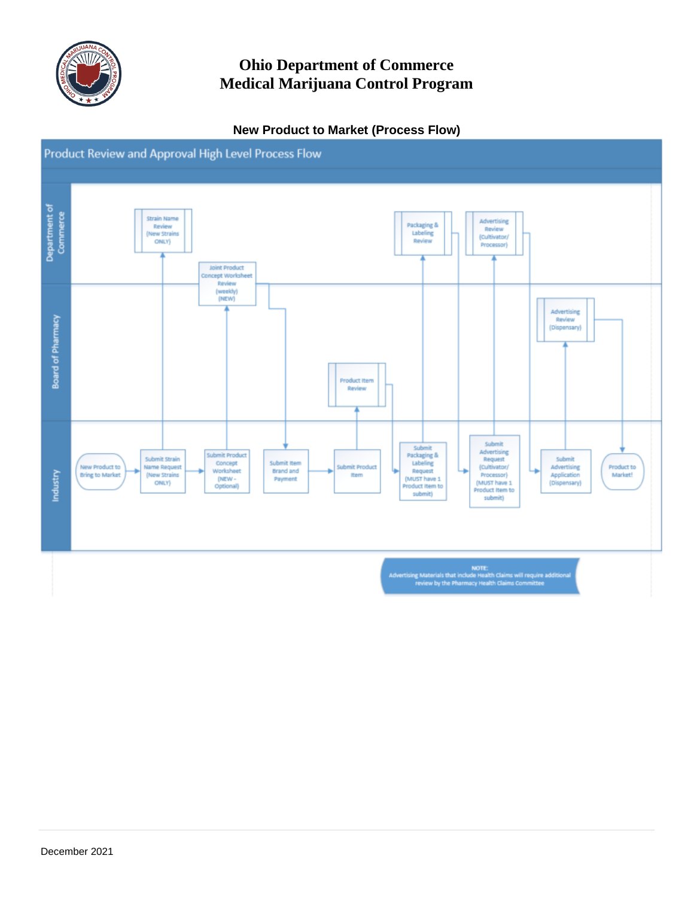

# **Ohio Department of Commerce Medical Marijuana Control Program**

### **New Product to Market (Process Flow)**